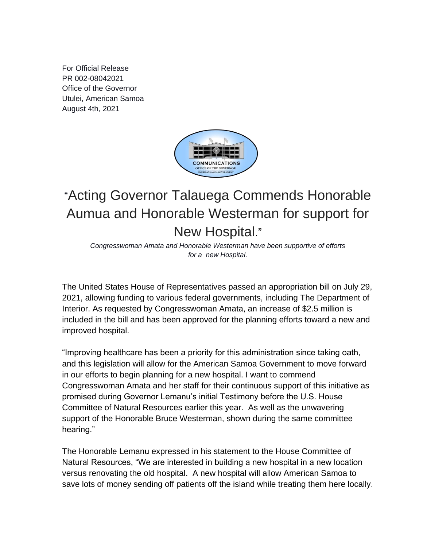For Official Release PR 002-08042021 Office of the Governor Utulei, American Samoa August 4th, 2021



## "Acting Governor Talauega Commends Honorable Aumua and Honorable Westerman for support for New Hospital."

*Congresswoman Amata and Honorable Westerman have been supportive of efforts for a new Hospital.*

The United States House of Representatives passed an appropriation bill on July 29, 2021, allowing funding to various federal governments, including The Department of Interior. As requested by Congresswoman Amata, an increase of \$2.5 million is included in the bill and has been approved for the planning efforts toward a new and improved hospital.

"Improving healthcare has been a priority for this administration since taking oath, and this legislation will allow for the American Samoa Government to move forward in our efforts to begin planning for a new hospital. I want to commend Congresswoman Amata and her staff for their continuous support of this initiative as promised during Governor Lemanu's initial Testimony before the U.S. House Committee of Natural Resources earlier this year. As well as the unwavering support of the Honorable Bruce Westerman, shown during the same committee hearing."

The Honorable Lemanu expressed in his statement to the House Committee of Natural Resources, "We are interested in building a new hospital in a new location versus renovating the old hospital. A new hospital will allow American Samoa to save lots of money sending off patients off the island while treating them here locally.